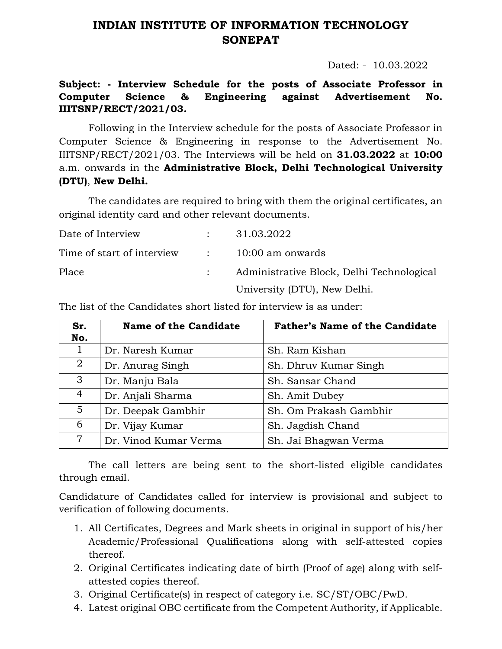## **INDIAN INSTITUTE OF INFORMATION TECHNOLOGY SONEPAT**

Dated: - 10.03.2022

## **Subject: - Interview Schedule for the posts of Associate Professor in Computer Science & Engineering against Advertisement No. IIITSNP/RECT/2021/03.**

Following in the Interview schedule for the posts of Associate Professor in Computer Science & Engineering in response to the Advertisement No. IIITSNP/RECT/2021/03. The Interviews will be held on **31.03.2022** at **10:00** a.m. onwards in the **Administrative Block, Delhi Technological University (DTU)**, **New Delhi.**

The candidates are required to bring with them the original certificates, an original identity card and other relevant documents.

| Date of Interview                             | : 31.03.2022                              |
|-----------------------------------------------|-------------------------------------------|
| Time of start of interview : 10:00 am onwards |                                           |
| Place                                         | Administrative Block, Delhi Technological |
|                                               | University (DTU), New Delhi.              |

| Sr.<br>No.     | <b>Name of the Candidate</b> | <b>Father's Name of the Candidate</b> |
|----------------|------------------------------|---------------------------------------|
|                | Dr. Naresh Kumar             | Sh. Ram Kishan                        |
| $\overline{2}$ | Dr. Anurag Singh             | Sh. Dhruv Kumar Singh                 |
| 3              | Dr. Manju Bala               | Sh. Sansar Chand                      |
| $\overline{4}$ | Dr. Anjali Sharma            | Sh. Amit Dubey                        |
| $5^{\circ}$    | Dr. Deepak Gambhir           | Sh. Om Prakash Gambhir                |
| 6              | Dr. Vijay Kumar              | Sh. Jagdish Chand                     |
| 7              | Dr. Vinod Kumar Verma        | Sh. Jai Bhagwan Verma                 |

The list of the Candidates short listed for interview is as under:

The call letters are being sent to the short-listed eligible candidates through email.

Candidature of Candidates called for interview is provisional and subject to verification of following documents.

- 1. All Certificates, Degrees and Mark sheets in original in support of his/her Academic/Professional Qualifications along with self-attested copies thereof.
- 2. Original Certificates indicating date of birth (Proof of age) along with selfattested copies thereof.
- 3. Original Certificate(s) in respect of category i.e. SC/ST/OBC/PwD.
- 4. Latest original OBC certificate from the Competent Authority, if Applicable.